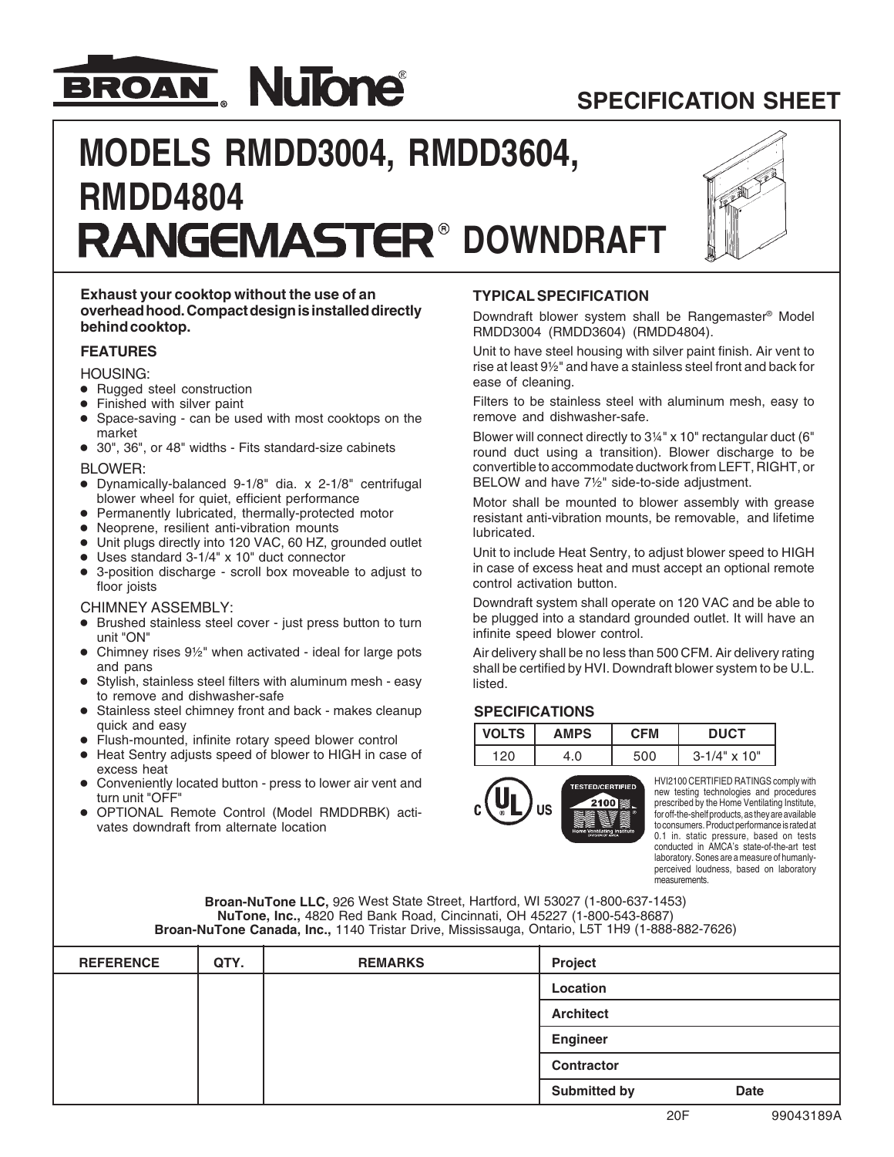

# **SPECIFICATION SHEET**

# **MODELS RMDD3004, RMDD3604, RMDD4804 RANGEMASTER® DOWNDRAFT**



#### **Exhaust your cooktop without the use of an overhead hood. Compact design is installed directly behind cooktop.**

#### **FEATURES**

HOUSING:

- **•** Rugged steel construction
- **•** Finished with silver paint
- **•** Space-saving can be used with most cooktops on the market
- **•** 30", 36", or 48" widths Fits standard-size cabinets

#### BLOWER:

- **•** Dynamically-balanced 9-1/8" dia. x 2-1/8" centrifugal blower wheel for quiet, efficient performance
- **•** Permanently lubricated, thermally-protected motor
- **•** Neoprene, resilient anti-vibration mounts
- **•** Unit plugs directly into 120 VAC, 60 HZ, grounded outlet
- **•** Uses standard 3-1/4" x 10" duct connector
- **•** 3-position discharge scroll box moveable to adjust to floor joists

#### CHIMNEY ASSEMBLY:

- **•** Brushed stainless steel cover just press button to turn unit "ON"
- **•** Chimney rises 9½" when activated ideal for large pots and pans
- **•** Stylish, stainless steel filters with aluminum mesh easy to remove and dishwasher-safe
- **•** Stainless steel chimney front and back makes cleanup quick and easy
- **•** Flush-mounted, infinite rotary speed blower control
- **•** Heat Sentry adjusts speed of blower to HIGH in case of excess heat
- **•** Conveniently located button press to lower air vent and turn unit "OFF"
- **•** OPTIONAL Remote Control (Model RMDDRBK) activates downdraft from alternate location

#### **TYPICAL SPECIFICATION**

Downdraft blower system shall be Rangemaster® Model RMDD3004 (RMDD3604) (RMDD4804).

Unit to have steel housing with silver paint finish. Air vent to rise at least 9½" and have a stainless steel front and back for ease of cleaning.

Filters to be stainless steel with aluminum mesh, easy to remove and dishwasher-safe.

Blower will connect directly to 3¼" x 10" rectangular duct (6" round duct using a transition). Blower discharge to be convertible to accommodate ductwork from LEFT, RIGHT, or BELOW and have 7½" side-to-side adjustment.

Motor shall be mounted to blower assembly with grease resistant anti-vibration mounts, be removable, and lifetime lubricated.

Unit to include Heat Sentry, to adjust blower speed to HIGH in case of excess heat and must accept an optional remote control activation button.

Downdraft system shall operate on 120 VAC and be able to be plugged into a standard grounded outlet. It will have an infinite speed blower control.

Air delivery shall be no less than 500 CFM. Air delivery rating shall be certified by HVI. Downdraft blower system to be U.L. listed.

#### **SPECIFICATIONS**

| <b>VOLTS</b> | <b>AMPS</b> | CFM | <b>DUCT</b>           |  |
|--------------|-------------|-----|-----------------------|--|
|              | 4.0         |     | $3 - 1/4" \times 10"$ |  |



HVI2100 CERTIFIED RATINGS comply with new testing technologies and procedures prescribed by the Home Ventilating Institute, for off-the-shelf products, as they are available to consumers. Product performance is rated at 0.1 in. static pressure, based on tests conducted in AMCA's state-of-the-art test laboratory. Sones are a measure of humanlyperceived loudness, based on laboratory measurements.

**Broan-NuTone LLC,** 926 West State Street, Hartford, WI 53027 (1-800-637-1453) **NuTone, Inc.,** 4820 Red Bank Road, Cincinnati, OH 45227 (1-800-543-8687) **Broan-NuTone Canada, Inc.,** 1140 Tristar Drive, Mississauga, Ontario, L5T 1H9 (1-888-882-7626)

| <b>REFERENCE</b> | QTY. | <b>REMARKS</b> | Project             |             |
|------------------|------|----------------|---------------------|-------------|
|                  |      |                | Location            |             |
|                  |      |                | <b>Architect</b>    |             |
|                  |      |                | <b>Engineer</b>     |             |
|                  |      |                | Contractor          |             |
|                  |      |                | <b>Submitted by</b> | <b>Date</b> |